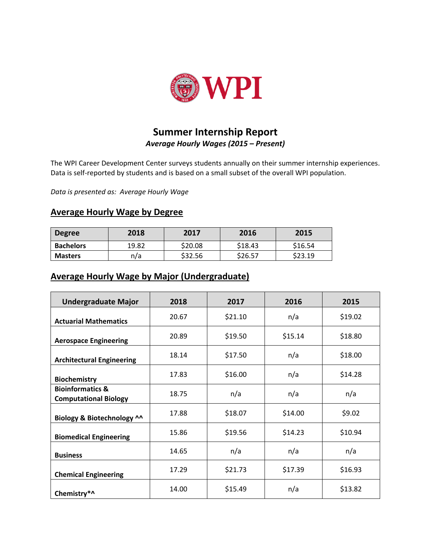

## **Summer Internship Report** *Average Hourly Wages (2015 – Present)*

The WPI Career Development Center surveys students annually on their summer internship experiences. Data is self-reported by students and is based on a small subset of the overall WPI population.

*Data is presented as: Average Hourly Wage*

## **Average Hourly Wage by Degree**

| <b>Degree</b>    | 2018  | 2017    | 2016    | 2015    |
|------------------|-------|---------|---------|---------|
| <b>Bachelors</b> | 19.82 | \$20.08 | \$18.43 | \$16.54 |
| <b>Masters</b>   | n/a   | \$32.56 | \$26.57 | \$23.19 |

## **Average Hourly Wage by Major (Undergraduate)**

| <b>Undergraduate Major</b>                                  | 2018  | 2017    | 2016    | 2015    |
|-------------------------------------------------------------|-------|---------|---------|---------|
| <b>Actuarial Mathematics</b>                                | 20.67 | \$21.10 | n/a     | \$19.02 |
| <b>Aerospace Engineering</b>                                | 20.89 | \$19.50 | \$15.14 | \$18.80 |
| <b>Architectural Engineering</b>                            | 18.14 | \$17.50 | n/a     | \$18.00 |
| <b>Biochemistry</b>                                         | 17.83 | \$16.00 | n/a     | \$14.28 |
| <b>Bioinformatics &amp;</b><br><b>Computational Biology</b> | 18.75 | n/a     | n/a     | n/a     |
| Biology & Biotechnology ^^                                  | 17.88 | \$18.07 | \$14.00 | \$9.02  |
| <b>Biomedical Engineering</b>                               | 15.86 | \$19.56 | \$14.23 | \$10.94 |
| <b>Business</b>                                             | 14.65 | n/a     | n/a     | n/a     |
| <b>Chemical Engineering</b>                                 | 17.29 | \$21.73 | \$17.39 | \$16.93 |
| Chemistry*^                                                 | 14.00 | \$15.49 | n/a     | \$13.82 |